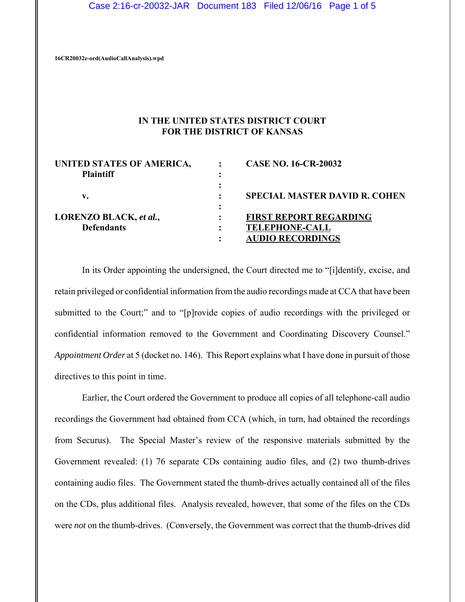**16CR20032e-ord(AudioCallAnalysis).wpd**

# **IN THE UNITED STATES DISTRICT COURT FOR THE DISTRICT OF KANSAS**

| UNITED STATES OF AMERICA,<br><b>Plaintiff</b> | <b>CASE NO. 16-CR-20032</b>                      |
|-----------------------------------------------|--------------------------------------------------|
| v.                                            | <b>SPECIAL MASTER DAVID R. COHEN</b>             |
| LORENZO BLACK, et al.,                        | <b>FIRST REPORT REGARDING</b>                    |
| <b>Defendants</b>                             | <b>TELEPHONE-CALL</b><br><b>AUDIO RECORDINGS</b> |

In its Order appointing the undersigned, the Court directed me to "[i]dentify, excise, and retain privileged or confidential information from the audio recordings made at CCA that have been submitted to the Court;" and to "[p]rovide copies of audio recordings with the privileged or confidential information removed to the Government and Coordinating Discovery Counsel." *Appointment Order* at 5 (docket no. 146). This Report explains what I have done in pursuit of those directives to this point in time.

Earlier, the Court ordered the Government to produce all copies of all telephone-call audio recordings the Government had obtained from CCA (which, in turn, had obtained the recordings from Securus). The Special Master's review of the responsive materials submitted by the Government revealed: (1) 76 separate CDs containing audio files, and (2) two thumb-drives containing audio files. The Government stated the thumb-drives actually contained all of the files on the CDs, plus additional files. Analysis revealed, however, that some of the files on the CDs were *not* on the thumb-drives. (Conversely, the Government was correct that the thumb-drives did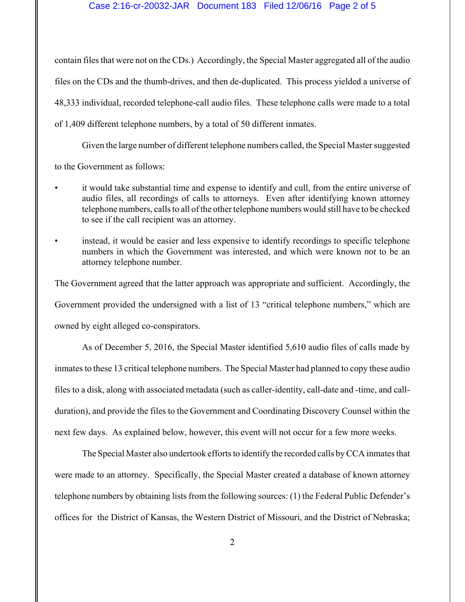### Case 2:16-cr-20032-JAR Document 183 Filed 12/06/16 Page 2 of 5

contain files that were not on the CDs.) Accordingly, the Special Master aggregated all of the audio files on the CDs and the thumb-drives, and then de-duplicated. This process yielded a universe of 48,333 individual, recorded telephone-call audio files. These telephone calls were made to a total of 1,409 different telephone numbers, by a total of 50 different inmates.

Given the large number of different telephone numbers called, the Special Master suggested to the Government as follows:

- it would take substantial time and expense to identify and cull, from the entire universe of audio files, all recordings of calls to attorneys. Even after identifying known attorney telephone numbers, calls to all of the other telephone numbers would still have to be checked to see if the call recipient was an attorney.
- instead, it would be easier and less expensive to identify recordings to specific telephone numbers in which the Government was interested, and which were known *not* to be an attorney telephone number.

The Government agreed that the latter approach was appropriate and sufficient. Accordingly, the Government provided the undersigned with a list of 13 "critical telephone numbers," which are owned by eight alleged co-conspirators.

As of December 5, 2016, the Special Master identified 5,610 audio files of calls made by inmates to these 13 critical telephone numbers. The Special Master had planned to copy these audio files to a disk, along with associated metadata (such as caller-identity, call-date and -time, and callduration), and provide the files to the Government and Coordinating Discovery Counsel within the next few days. As explained below, however, this event will not occur for a few more weeks.

The Special Master also undertook efforts to identify the recorded calls by CCA inmates that were made to an attorney. Specifically, the Special Master created a database of known attorney telephone numbers by obtaining lists from the following sources: (1) the Federal Public Defender's offices for the District of Kansas, the Western District of Missouri, and the District of Nebraska;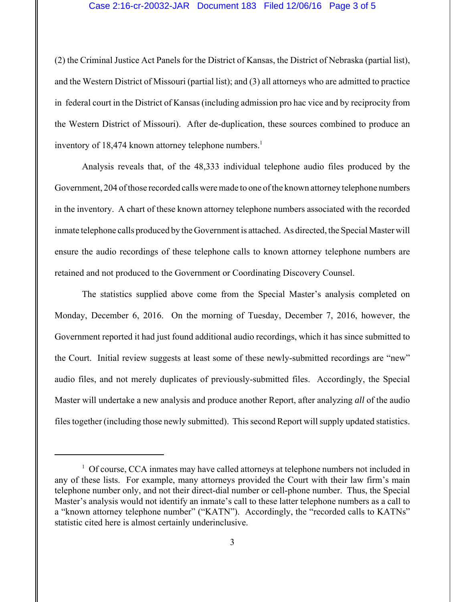#### Case 2:16-cr-20032-JAR Document 183 Filed 12/06/16 Page 3 of 5

(2) the Criminal Justice Act Panels for the District of Kansas, the District of Nebraska (partial list), and the Western District of Missouri (partial list); and (3) all attorneys who are admitted to practice in federal court in the District of Kansas (including admission pro hac vice and by reciprocity from the Western District of Missouri). After de-duplication, these sources combined to produce an inventory of 18,474 known attorney telephone numbers.<sup>1</sup>

Analysis reveals that, of the 48,333 individual telephone audio files produced by the Government, 204 of those recorded calls were made to one of the known attorney telephone numbers in the inventory. A chart of these known attorney telephone numbers associated with the recorded inmate telephone calls produced by the Government is attached. As directed, the Special Master will ensure the audio recordings of these telephone calls to known attorney telephone numbers are retained and not produced to the Government or Coordinating Discovery Counsel.

The statistics supplied above come from the Special Master's analysis completed on Monday, December 6, 2016. On the morning of Tuesday, December 7, 2016, however, the Government reported it had just found additional audio recordings, which it has since submitted to the Court. Initial review suggests at least some of these newly-submitted recordings are "new" audio files, and not merely duplicates of previously-submitted files. Accordingly, the Special Master will undertake a new analysis and produce another Report, after analyzing *all* of the audio files together (including those newly submitted). This second Report will supply updated statistics.

<sup>&</sup>lt;sup>1</sup> Of course, CCA inmates may have called attorneys at telephone numbers not included in any of these lists. For example, many attorneys provided the Court with their law firm's main telephone number only, and not their direct-dial number or cell-phone number. Thus, the Special Master's analysis would not identify an inmate's call to these latter telephone numbers as a call to a "known attorney telephone number" ("KATN"). Accordingly, the "recorded calls to KATNs" statistic cited here is almost certainly underinclusive.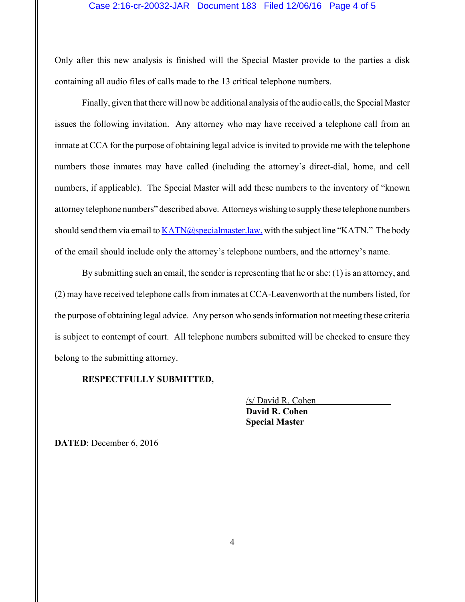## Case 2:16-cr-20032-JAR Document 183 Filed 12/06/16 Page 4 of 5

Only after this new analysis is finished will the Special Master provide to the parties a disk containing all audio files of calls made to the 13 critical telephone numbers.

Finally, given that there will now be additional analysis of the audio calls, the Special Master issues the following invitation. Any attorney who may have received a telephone call from an inmate at CCA for the purpose of obtaining legal advice is invited to provide me with the telephone numbers those inmates may have called (including the attorney's direct-dial, home, and cell numbers, if applicable). The Special Master will add these numbers to the inventory of "known attorney telephone numbers" described above. Attorneys wishing to supply these telephone numbers should send them via email to  $KATN@specialmaster-law$ , with the subject line "KATN." The body of the email should include only the attorney's telephone numbers, and the attorney's name.

By submitting such an email, the sender is representing that he or she: (1) is an attorney, and (2) may have received telephone calls from inmates at CCA-Leavenworth at the numbers listed, for the purpose of obtaining legal advice. Any person who sends information not meeting these criteria is subject to contempt of court. All telephone numbers submitted will be checked to ensure they belong to the submitting attorney.

#### **RESPECTFULLY SUBMITTED,**

/s/ David R. Cohen **David R. Cohen Special Master**

**DATED**: December 6, 2016